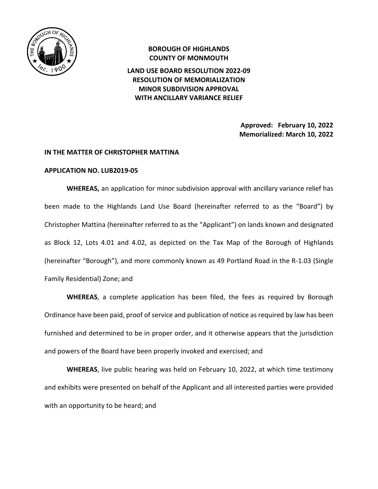

# **BOROUGH OF HIGHLANDS COUNTY OF MONMOUTH LAND USE BOARD RESOLUTION 2022-09 RESOLUTION OF MEMORIALIZATION MINOR SUBDIVISION APPROVAL WITH ANCILLARY VARIANCE RELIEF**

**Approved: February 10, 2022 Memorialized: March 10, 2022** 

#### **IN THE MATTER OF CHRISTOPHER MATTINA**

#### **APPLICATION NO. LUB2019-05**

 **WHEREAS,** an application for minor subdivision approval with ancillary variance relief has been made to the Highlands Land Use Board (hereinafter referred to as the "Board") by Christopher Mattina (hereinafter referred to as the "Applicant") on lands known and designated as Block 12, Lots 4.01 and 4.02, as depicted on the Tax Map of the Borough of Highlands (hereinafter "Borough"), and more commonly known as 49 Portland Road in the R-1.03 (Single Family Residential) Zone; and

**WHEREAS**, a complete application has been filed, the fees as required by Borough Ordinance have been paid, proof of service and publication of notice as required by law has been furnished and determined to be in proper order, and it otherwise appears that the jurisdiction and powers of the Board have been properly invoked and exercised; and

**WHEREAS**, live public hearing was held on February 10, 2022, at which time testimony and exhibits were presented on behalf of the Applicant and all interested parties were provided with an opportunity to be heard; and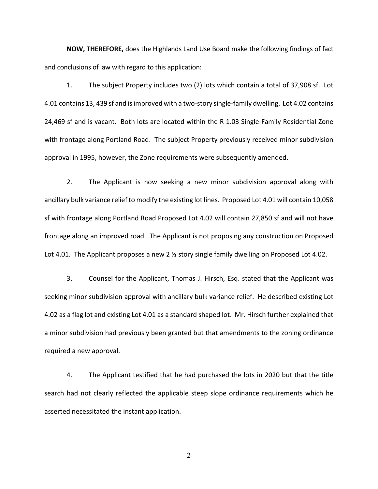**NOW, THEREFORE,** does the Highlands Land Use Board make the following findings of fact and conclusions of law with regard to this application:

1. The subject Property includes two (2) lots which contain a total of 37,908 sf. Lot 4.01 contains 13, 439 sf and is improved with a two-story single-family dwelling. Lot 4.02 contains 24,469 sf and is vacant. Both lots are located within the R 1.03 Single-Family Residential Zone with frontage along Portland Road. The subject Property previously received minor subdivision approval in 1995, however, the Zone requirements were subsequently amended.

2. The Applicant is now seeking a new minor subdivision approval along with ancillary bulk variance relief to modify the existing lot lines. Proposed Lot 4.01 will contain 10,058 sf with frontage along Portland Road Proposed Lot 4.02 will contain 27,850 sf and will not have frontage along an improved road. The Applicant is not proposing any construction on Proposed Lot 4.01. The Applicant proposes a new 2 ½ story single family dwelling on Proposed Lot 4.02.

3. Counsel for the Applicant, Thomas J. Hirsch, Esq. stated that the Applicant was seeking minor subdivision approval with ancillary bulk variance relief. He described existing Lot 4.02 as a flag lot and existing Lot 4.01 as a standard shaped lot. Mr. Hirsch further explained that a minor subdivision had previously been granted but that amendments to the zoning ordinance required a new approval.

4. The Applicant testified that he had purchased the lots in 2020 but that the title search had not clearly reflected the applicable steep slope ordinance requirements which he asserted necessitated the instant application.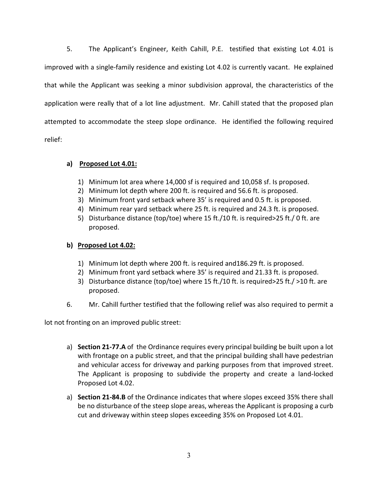5. The Applicant's Engineer, Keith Cahill, P.E. testified that existing Lot 4.01 is improved with a single-family residence and existing Lot 4.02 is currently vacant. He explained that while the Applicant was seeking a minor subdivision approval, the characteristics of the application were really that of a lot line adjustment. Mr. Cahill stated that the proposed plan attempted to accommodate the steep slope ordinance. He identified the following required relief:

### **a) Proposed Lot 4.01:**

- 1) Minimum lot area where 14,000 sf is required and 10,058 sf. Is proposed.
- 2) Minimum lot depth where 200 ft. is required and 56.6 ft. is proposed.
- 3) Minimum front yard setback where 35' is required and 0.5 ft. is proposed.
- 4) Minimum rear yard setback where 25 ft. is required and 24.3 ft. is proposed.
- 5) Disturbance distance (top/toe) where 15 ft./10 ft. is required>25 ft./ 0 ft. are proposed.

### **b) Proposed Lot 4.02:**

- 1) Minimum lot depth where 200 ft. is required and186.29 ft. is proposed.
- 2) Minimum front yard setback where 35' is required and 21.33 ft. is proposed.
- 3) Disturbance distance (top/toe) where 15 ft./10 ft. is required>25 ft./ >10 ft. are proposed.
- 6. Mr. Cahill further testified that the following relief was also required to permit a

lot not fronting on an improved public street:

- a) **Section 21-77.A** of the Ordinance requires every principal building be built upon a lot with frontage on a public street, and that the principal building shall have pedestrian and vehicular access for driveway and parking purposes from that improved street. The Applicant is proposing to subdivide the property and create a land-locked Proposed Lot 4.02.
- a) **Section 21-84.B** of the Ordinance indicates that where slopes exceed 35% there shall be no disturbance of the steep slope areas, whereas the Applicant is proposing a curb cut and driveway within steep slopes exceeding 35% on Proposed Lot 4.01.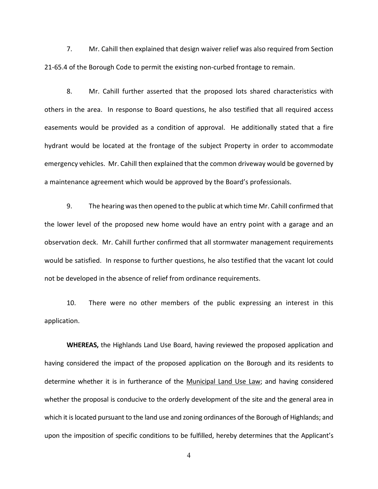7. Mr. Cahill then explained that design waiver relief was also required from Section 21-65.4 of the Borough Code to permit the existing non-curbed frontage to remain.

8. Mr. Cahill further asserted that the proposed lots shared characteristics with others in the area. In response to Board questions, he also testified that all required access easements would be provided as a condition of approval. He additionally stated that a fire hydrant would be located at the frontage of the subject Property in order to accommodate emergency vehicles. Mr. Cahill then explained that the common driveway would be governed by a maintenance agreement which would be approved by the Board's professionals.

9. The hearing was then opened to the public at which time Mr. Cahill confirmed that the lower level of the proposed new home would have an entry point with a garage and an observation deck. Mr. Cahill further confirmed that all stormwater management requirements would be satisfied. In response to further questions, he also testified that the vacant lot could not be developed in the absence of relief from ordinance requirements.

10. There were no other members of the public expressing an interest in this application.

 **WHEREAS,** the Highlands Land Use Board, having reviewed the proposed application and having considered the impact of the proposed application on the Borough and its residents to determine whether it is in furtherance of the Municipal Land Use Law; and having considered whether the proposal is conducive to the orderly development of the site and the general area in which it is located pursuant to the land use and zoning ordinances of the Borough of Highlands; and upon the imposition of specific conditions to be fulfilled, hereby determines that the Applicant's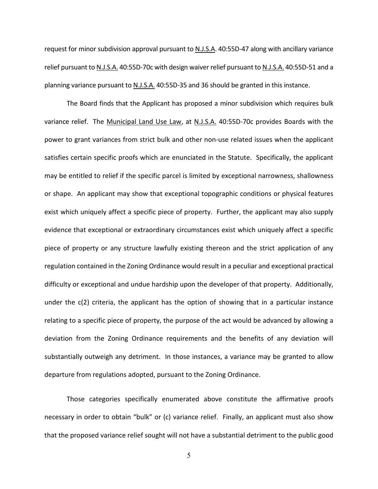request for minor subdivision approval pursuant to N.J.S.A. 40:55D-47 along with ancillary variance relief pursuant to N.J.S.A. 40:55D-70c with design waiver relief pursuant to N.J.S.A. 40:55D-51 and a planning variance pursuant to N.J.S.A. 40:55D-35 and 36 should be granted in this instance.

The Board finds that the Applicant has proposed a minor subdivision which requires bulk variance relief. The Municipal Land Use Law, at N.J.S.A. 40:55D-70c provides Boards with the power to grant variances from strict bulk and other non-use related issues when the applicant satisfies certain specific proofs which are enunciated in the Statute. Specifically, the applicant may be entitled to relief if the specific parcel is limited by exceptional narrowness, shallowness or shape. An applicant may show that exceptional topographic conditions or physical features exist which uniquely affect a specific piece of property. Further, the applicant may also supply evidence that exceptional or extraordinary circumstances exist which uniquely affect a specific piece of property or any structure lawfully existing thereon and the strict application of any regulation contained in the Zoning Ordinance would result in a peculiar and exceptional practical difficulty or exceptional and undue hardship upon the developer of that property. Additionally, under the c(2) criteria, the applicant has the option of showing that in a particular instance relating to a specific piece of property, the purpose of the act would be advanced by allowing a deviation from the Zoning Ordinance requirements and the benefits of any deviation will substantially outweigh any detriment. In those instances, a variance may be granted to allow departure from regulations adopted, pursuant to the Zoning Ordinance.

Those categories specifically enumerated above constitute the affirmative proofs necessary in order to obtain "bulk" or (c) variance relief. Finally, an applicant must also show that the proposed variance relief sought will not have a substantial detriment to the public good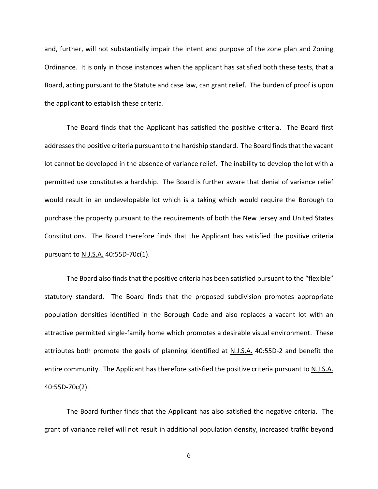and, further, will not substantially impair the intent and purpose of the zone plan and Zoning Ordinance. It is only in those instances when the applicant has satisfied both these tests, that a Board, acting pursuant to the Statute and case law, can grant relief. The burden of proof is upon the applicant to establish these criteria.

The Board finds that the Applicant has satisfied the positive criteria. The Board first addresses the positive criteria pursuant to the hardship standard. The Board finds that the vacant lot cannot be developed in the absence of variance relief. The inability to develop the lot with a permitted use constitutes a hardship. The Board is further aware that denial of variance relief would result in an undevelopable lot which is a taking which would require the Borough to purchase the property pursuant to the requirements of both the New Jersey and United States Constitutions. The Board therefore finds that the Applicant has satisfied the positive criteria pursuant to N.J.S.A. 40:55D-70c(1).

The Board also finds that the positive criteria has been satisfied pursuant to the "flexible" statutory standard. The Board finds that the proposed subdivision promotes appropriate population densities identified in the Borough Code and also replaces a vacant lot with an attractive permitted single-family home which promotes a desirable visual environment. These attributes both promote the goals of planning identified at N.J.S.A. 40:55D-2 and benefit the entire community. The Applicant has therefore satisfied the positive criteria pursuant to N.J.S.A. 40:55D-70c(2).

The Board further finds that the Applicant has also satisfied the negative criteria. The grant of variance relief will not result in additional population density, increased traffic beyond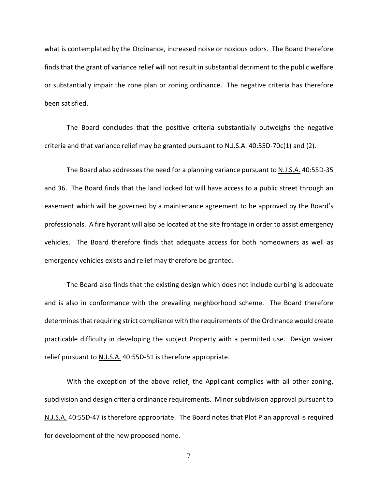what is contemplated by the Ordinance, increased noise or noxious odors. The Board therefore finds that the grant of variance relief will not result in substantial detriment to the public welfare or substantially impair the zone plan or zoning ordinance. The negative criteria has therefore been satisfied.

The Board concludes that the positive criteria substantially outweighs the negative criteria and that variance relief may be granted pursuant to N.J.S.A. 40:55D-70c(1) and (2).

The Board also addresses the need for a planning variance pursuant to N.J.S.A. 40:55D-35 and 36. The Board finds that the land locked lot will have access to a public street through an easement which will be governed by a maintenance agreement to be approved by the Board's professionals. A fire hydrant will also be located at the site frontage in order to assist emergency vehicles. The Board therefore finds that adequate access for both homeowners as well as emergency vehicles exists and relief may therefore be granted.

The Board also finds that the existing design which does not include curbing is adequate and is also in conformance with the prevailing neighborhood scheme. The Board therefore determines that requiring strict compliance with the requirements of the Ordinance would create practicable difficulty in developing the subject Property with a permitted use. Design waiver relief pursuant to N.J.S.A. 40:55D-51 is therefore appropriate.

With the exception of the above relief, the Applicant complies with all other zoning, subdivision and design criteria ordinance requirements. Minor subdivision approval pursuant to N.J.S.A. 40:55D-47 is therefore appropriate. The Board notes that Plot Plan approval is required for development of the new proposed home.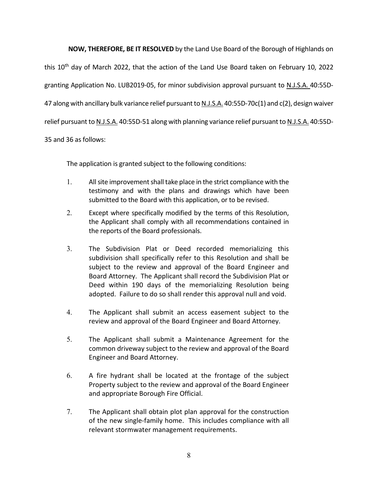**NOW, THEREFORE, BE IT RESOLVED** by the Land Use Board of the Borough of Highlands on

this 10th day of March 2022, that the action of the Land Use Board taken on February 10, 2022 granting Application No. LUB2019-05, for minor subdivision approval pursuant to N.J.S.A. 40:55D-47 along with ancillary bulk variance relief pursuant to N.J.S.A. 40:55D-70c(1) and c(2), design waiver relief pursuant to N.J.S.A. 40:55D-51 along with planning variance relief pursuant to N.J.S.A. 40:55D-

35 and 36 as follows:

The application is granted subject to the following conditions:

- 1. All site improvement shall take place in the strict compliance with the testimony and with the plans and drawings which have been submitted to the Board with this application, or to be revised.
- 2. Except where specifically modified by the terms of this Resolution, the Applicant shall comply with all recommendations contained in the reports of the Board professionals.
- 3. The Subdivision Plat or Deed recorded memorializing this subdivision shall specifically refer to this Resolution and shall be subject to the review and approval of the Board Engineer and Board Attorney. The Applicant shall record the Subdivision Plat or Deed within 190 days of the memorializing Resolution being adopted. Failure to do so shall render this approval null and void.
- 4. The Applicant shall submit an access easement subject to the review and approval of the Board Engineer and Board Attorney.
- 5. The Applicant shall submit a Maintenance Agreement for the common driveway subject to the review and approval of the Board Engineer and Board Attorney.
- 6. A fire hydrant shall be located at the frontage of the subject Property subject to the review and approval of the Board Engineer and appropriate Borough Fire Official.
- 7. The Applicant shall obtain plot plan approval for the construction of the new single-family home. This includes compliance with all relevant stormwater management requirements.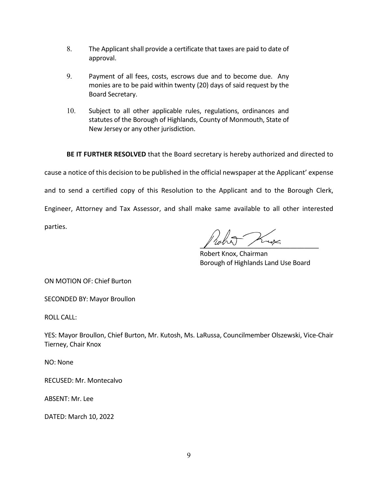- 8. The Applicant shall provide a certificate that taxes are paid to date of approval.
- 9. Payment of all fees, costs, escrows due and to become due. Any monies are to be paid within twenty (20) days of said request by the Board Secretary.
- 10. Subject to all other applicable rules, regulations, ordinances and statutes of the Borough of Highlands, County of Monmouth, State of New Jersey or any other jurisdiction.

 **BE IT FURTHER RESOLVED** that the Board secretary is hereby authorized and directed to

cause a notice of this decision to be published in the official newspaper at the Applicant' expense and to send a certified copy of this Resolution to the Applicant and to the Borough Clerk, Engineer, Attorney and Tax Assessor, and shall make same available to all other interested parties.

noted Knox

 Robert Knox, Chairman Borough of Highlands Land Use Board

ON MOTION OF: Chief Burton

SECONDED BY: Mayor Broullon

ROLL CALL:

YES: Mayor Broullon, Chief Burton, Mr. Kutosh, Ms. LaRussa, Councilmember Olszewski, Vice-Chair Tierney, Chair Knox

NO: None

RECUSED: Mr. Montecalvo

ABSENT: Mr. Lee

DATED: March 10, 2022